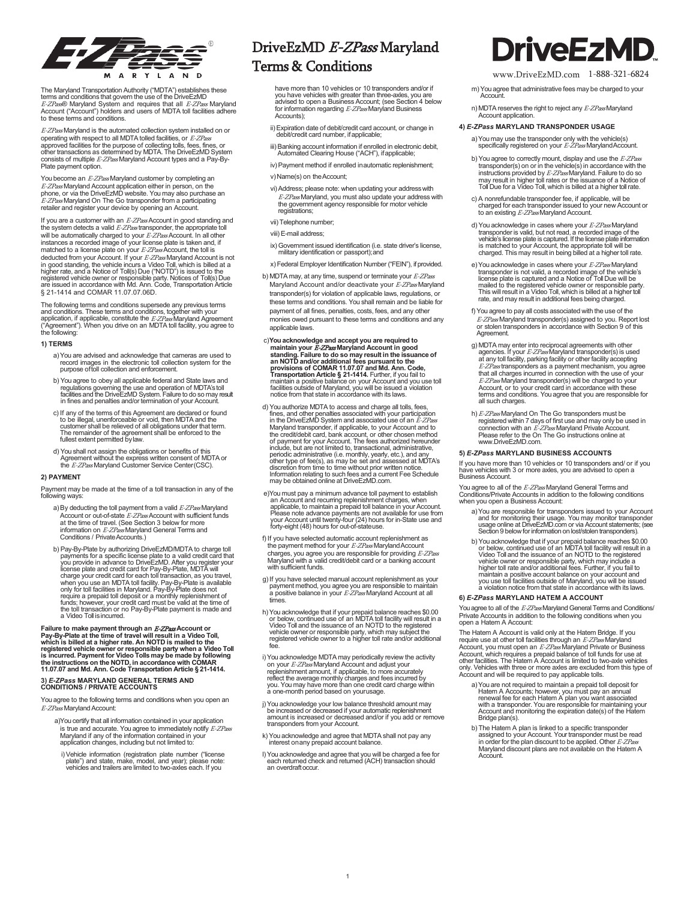

The Maryland Transportation Authority ("MDTA") establishes these<br>terms and conditions that govern the use of the DriveEzMD<br>*E-ZPas®* Maryland System and requires that all *E-ZPass* Maryland<br>Account ("Account") holders and

 $E$ - $ZP$ ass Maryland is the automated collection system installed on or operating with respect to all MDTA tolled facilities, or *E-ZPass*<br>approved facilities for the purpose of collecting tolls, fees, fines, or<br>other transactions as determined by MDTA. The DriveEzMD System<br>consists of multipl Plate payment option.

You become an  $E$ -ZPass Maryland customer by completing an *E-ZPass* Maryland Account application either in person, on the<br>phone, or via the DriveEzMD website. You may also purchase an<br>*E-ZPass* Maryland On The Go transponder from a participating retailer and register your device by opening an Account.

If you are a customer with an  $E$ -ZPass Account in good standing and the system detects a valid  $E-ZPass$  transponder, the appropriate to will be automatically charged to your *E-ZPass* Account. In all other<br>instances a recorded image of your license plate is taken and, if<br>matched to a license plate on your *E-ZPass* Account, the toll is deducted from your Account. If your *E-ZPass* Maryland Account is not<br>in good standing, the vehicle incurs a Video Toll, which is billed at a<br>higher rate, and a Notice of Toll(s) Due ("NOTD") is issued to the<br>registered ve § 21-1414 and COMAR 11.07.07.06D.

The following terms and conditions supersede any previous terms<br>and conditions. These terms and conditions, together with your<br>application, if applicable, constitute the *E-ZPass* Maryland Agreement<br>("Agreement"). When you

### **1) TERMS**

- a)You are advised and acknowledge that cameras are used to record images in the electronic toll collection system for the purpose oftoll collection and enforcement.
- b) You agree to obey all applicable federal and State laws and<br>regulations governing the use and operation of MDTA's toll<br>facilities and the DriveEzMD System. Failure to do so may result<br>in fines and penalties and/or termi
- c) If any of the terms of this Agreement are declared or found to be illegal, unenforceable or void, then MDTA and the customer shall be relieved of all obligations under that term. The remainder of the agreement shall be
- d) You shall not assign the obligations or benefits of this<br>Agreement without the express written consent of MDTA or<br>the *E-ZPass* Maryland Customer Service Center(CSC).

#### **2) PAYMENT**

Payment may be made at the time of a toll transaction in any of the following ways:

- a) By deducting the toll payment from a valid *E-ZPass* Maryland<br>Account or out-of-state *E-ZPass* Account with sufficient funds<br>at the time of travel. (See Section 3 below for more information on *E-ZPass* Maryland General Terms and<br>Conditions / Private Accounts.)
- b) Pay-By-Plate by authorizing DriveEzMDMDTA to charge toll<br>payments for a specific license plate to a valid credit card that<br>you provide in advance to DriveEzMD. After you register your<br>license plate and credit card for P when you use an MDTA toll facility. Pay-By-Plate is available<br>only for toll facilities in Maryland. Pay-By-Plate does not<br>require a prepaid toll deposit or a monthly replenishment of funds; however, your credit card must be valid at the time of<br>the toll transaction or no Pay-By-Plate payment is made and<br>a Video Toll isincurred.

Failure to make payment through an *E-ZPas* Account or<br>Pay-By-Plate at the time of travel will result in a Video Toll,<br>which is billed at a higher rate. An NOTD is mailed to the<br>registered vehicle owner or responsible part

### **3)** *E-ZPass* **MARYLAND GENERAL TERMS AND CONDITIONS / PRIVATE ACCOUNTS**

You agree to the following terms and conditions when you open an E-ZPass Maryland Account:

- a)You certify that all information contained in your application is true and accurate. You agree to immediately notify E-ZPass implication changes, including but not limited to:
- i)Vehicle information (registration plate number ("license plate") and state, make, model, and year); please note: vehicles and trailers are limited to two-axles each. If you

## DriveEzMD E-ZPass Maryland Terms & Conditions  $\frac{1}{\text{www. DriveEzMD.com}}$  1-888-321-6824

have more than 10 vehicles or 10 transponders and/or if<br>you have vehicles with greater than three-axles, you are<br>advised to open a Business Account; (see Section 4 below<br>for information regarding *E-ZPass* Maryland Busines Accounts);

- ii)Expiration date of debit/credit card account, or change in debit/credit card number, ifapplicable;
- iii)Banking account information if enrolled in electronic debit, Automated Clearing House ("ACH"), ifapplicable;
- iv) Payment method if enrolled inautomatic replenishment; v) Name(s) on theAccount;
- vi)Address; please note: when updating your addresswith *E-ZPass* Maryland, you must also update your address with<br>the government agency responsible for motor vehicle<br>registrations;
- vii)Telephone number;
- viii)E-mail address;
- ix) Government issued identification (i.e. state driver's license, military identification or passport);and
- x) Federal Employer Identification Number ("FEIN"), if provided.
- b) MDTA may, at any time, suspend or terminate your E-ZPass Maryland Account and/or deactivate your E-ZPass Maryland transponder(s) for violation of applicable laws, regulations, or these terms and conditions. You shall remain and be liable for payment of all fines, penalties, costs, fees, and any other monies owed pursuant to these terms and conditions and any applicable laws.
- c)You acknowledge and accept you are required to<br>maintain your *E-ZP*as Maryland Account in good<br>standing. Failure to do so may result in the issuance of<br>an NOTD and/or additional fees pursuant to the<br>provisions of COMAR 1 **Transportation Article § 21-1414.** Further, if you fail to<br>maintain a positive balance on your Account and you use toll<br>facilities outside of Maryland, you will be issued a violation<br>notice from that state in accordance w
- d) You authorize MDTA to access and charge all tolls, fees,<br>fines, and other penalties associated with your participation<br>in the DriveEzMD System and associated use of an *E-ZPass* Maryland transponder, if applicable, to your Account and to<br>the credit/debit card, bank account, or other chosen method<br>of payment for your Account. The fees authorized hereunder<br>include, but are not limited to, transactio incolue, but all enorminied to, utalisadourial, administrative (i.e. monthly, yearly, etc.), and any<br>other type of fee(s), as may be set and assessed at MDTA's<br>discretion from time to time without prior written notice.<br>Inf
- e)You must pay a minimum advance toll payment to establish an Account and recurring replenishment charges, when applicable, to maintain a prepaid toll balance in your Account.<br>Please note advance payments are not available for use from<br>your Account until twenty-four (24) hours for in-State use and<br>forty-eight (48) hours for out-of-s
- f) If you have selected automatic account replenishment as<br>the payment method for your *E-ZPass* Maryland Account charges, you agree you are responsible for providing E-ZPass Maryland with a valid credit/debit card or a banking account with sufficient funds.
- g)If you have selected manual account replenishment as your payment method, you agree you are responsible to maintain a positive balance in your *E-ZPass* Maryland Account at all times.
- h) You acknowledge that if your prepaid balance reaches \$0.00<br>or below, continued use of an MDTA toll facility will result in a<br>Video Toll and the issuance of an NOTD to the registered<br>vehicle owner or responsible party, w
- i) You acknowledge MDTA may periodically review the activity on your *E-ZPass* Maryland Account and adjust your<br>replenishment amount, if applicable, to more accurately<br>reflect the average monthly charges and fees incurred by<br>you. You may have more than one credit card charge within<br>
- j) You acknowledge your low balance threshold amount may<br>be increased or decreased if your automatic replenishment<br>amount is increased or decreased and/or if you add or remove<br>transponders from your Account.
- k) You acknowledge and agree that MDTA shall not pay any interest onany prepaid account balance.
- l) You acknowledge and agree that you will be charged a fee for<br>each returned check and returned (ACH) transaction should<br>an overdraftoccur.

## **DriveEzM**

- m) You agree that administrative fees may be charged to your
- n) MDTA reserves the right to reject any E-ZPass Maryland Account application.

### **4)** *E-ZPass* **MARYLAND TRANSPONDER USAGE**

a) You may use the transponder only with the vehicle(s)<br>specifically registered on your *E-ZPass* MarylandAccount.

- b) You agree to correctly mount, display and use the *E-ZPass* transponder(s) on or in the vehicle(s) in accordance with the instructions provided by *E-ZPass* Maryland. Failure to do so<br>may result in higher toll rates or the issuance of a Notice of<br>Toll Due for a Video Toll, which is billed at a higher toll rate.
- c) A nonrefundable transponder fee, if applicable, will be<br>charged for each transponder issued to your new Account or<br>to an existing *E-ZPass* Maryland Account.
- d) You acknowledge in cases where your E-ZPassMaryland For a construction of the team of the sense of the vehicle's light, but not read, a recorded image of the vehicle's license plate is captured. If the license plate information is matched to your Account, the appropriate to
- e) You acknowledge in cases where your *E-ZPass* Maryland<br>transponder is not valid, a recorded image of the vehicle's<br>license plate is captured and a Notice of Toll Due will be<br>mailed to the registered vehicle owner or res
- f) You agree to pay all costs associated with the use of the E-ZPass Maryland transponder(s) assigned to you. Report lost or stolen transponders in accordance with Section 9 of this Agreement.
- g) MDTA may enter into reciprocal agreements with other<br>agencies. If your *E-ZPass* Maryland transponder(s) is used<br>at any toll facility, parking facility or other facility accepting<br>*E-ZPass* transponders as a payment mec that all charges incurred in connection with the use of your *E-ZPass* Maryland transponder(s) will be charged to your<br>Account, or to your credit card in accordance with these<br>terms and conditions. You agree that you are responsible for<br>all such charges.
- h) E-ZPass Maryland On The Go transponders must be registered within 7 days of first use and may only be used in<br>connection with an *E-ZPass* Maryland Private Account.<br>[Please](http://www/) refer to the On The Go instructions online at<br>[www.D](http://www/)riveEzMD.com.

### **5)** *E-ZPass* **MARYLAND BUSINESS ACCOUNTS**

If you have more than 10 vehicles or 10 transponders and/ or if you have vehicles with 3 or more axles, you are advised to open a Business Account.

You agree to all of the *E-ZPas*s Maryland General Terms and<br>Conditions/Private Accounts in addition to the following conditions<br>when you open a Business Account:

- a) You are responsible for transponders issued to your Account<br>and for monitoring their usage. You may monitor transponder<br>usage online at DriveEzMD.com or via Account statements; (see<br>Section 9 below for information on lo
- by You acknowledge that if your prepaid balance reaches \$0.00<br>or below, continued use of an MDTA toll facility will result in a<br>Video Toll and the issuance of an NOTTA toll facility will result in a<br>vehicle owner or respon

### **6)** *E-ZPass* **MARYLAND HATEM A ACCOUNT**

You agree to all of the E-ZPassMaryland General Terms and Conditions/ Private Accounts in addition to the following conditions when you open a Hatem A Account:

The Hatem A Account is valid only at the Hatem Bridge. If you<br>require use at other toll facilities through an *E-ZPass* Maryland Account, you must open an E-ZPass Maryland Private or Business Account, which requires a prepaid balance of foll funds for use at<br>other facilities. The Hatem A Account is limited to two-axle vehicles<br>only. Vehicles with three or more axles are excluded from this type of<br>Account and wi

- a) You are not required to maintain a prepaid toll deposit for<br>Hatem A Accounts; however, you must pay an annual<br>renewal fee for each Hatem A plan you want associated<br>with a transponder. You are responsible for maintaining
- b) The Hatem A plan is linked to a specific transponder<br>assigned to your Account. Your transponder must be read<br>in order for the plan discount to be applied. Other *E-ZPass* Maryland discount plans are not available on the Hatem A Account.